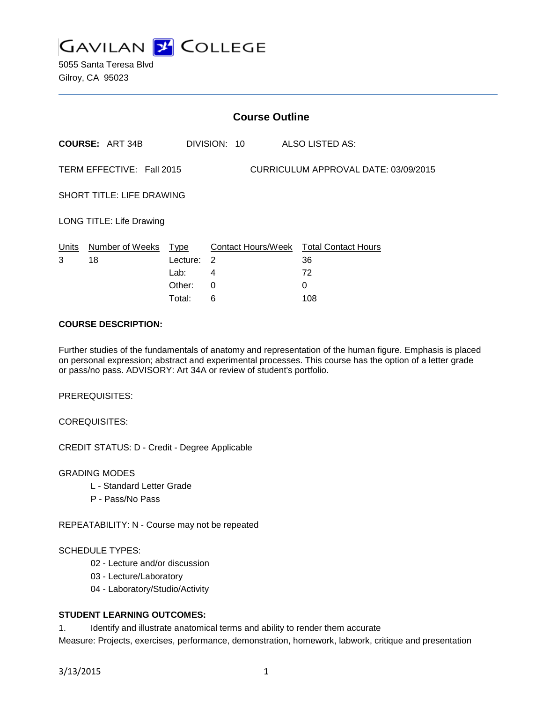

5055 Santa Teresa Blvd Gilroy, CA 95023

|                                                                   |                            |          | <b>Course Outline</b> |                                              |  |
|-------------------------------------------------------------------|----------------------------|----------|-----------------------|----------------------------------------------|--|
|                                                                   | <b>COURSE: ART 34B</b>     |          | DIVISION: 10          | ALSO LISTED AS:                              |  |
| TERM EFFECTIVE: Fall 2015<br>CURRICULUM APPROVAL DATE: 03/09/2015 |                            |          |                       |                                              |  |
| <b>SHORT TITLE: LIFE DRAWING</b>                                  |                            |          |                       |                                              |  |
| LONG TITLE: Life Drawing                                          |                            |          |                       |                                              |  |
| Units<br>3                                                        | Number of Weeks Type<br>18 | Lecture: | $\overline{2}$        | Contact Hours/Week Total Contact Hours<br>36 |  |
|                                                                   |                            | Lab:     | 4                     | 72                                           |  |
|                                                                   |                            | Other:   | $\Omega$              | $\Omega$                                     |  |
|                                                                   |                            | Total:   | 6                     | 108                                          |  |

### **COURSE DESCRIPTION:**

Further studies of the fundamentals of anatomy and representation of the human figure. Emphasis is placed on personal expression; abstract and experimental processes. This course has the option of a letter grade or pass/no pass. ADVISORY: Art 34A or review of student's portfolio.

PREREQUISITES:

COREQUISITES:

CREDIT STATUS: D - Credit - Degree Applicable

GRADING MODES

- L Standard Letter Grade
- P Pass/No Pass

REPEATABILITY: N - Course may not be repeated

#### SCHEDULE TYPES:

- 02 Lecture and/or discussion
- 03 Lecture/Laboratory
- 04 Laboratory/Studio/Activity

## **STUDENT LEARNING OUTCOMES:**

1. Identify and illustrate anatomical terms and ability to render them accurate

Measure: Projects, exercises, performance, demonstration, homework, labwork, critique and presentation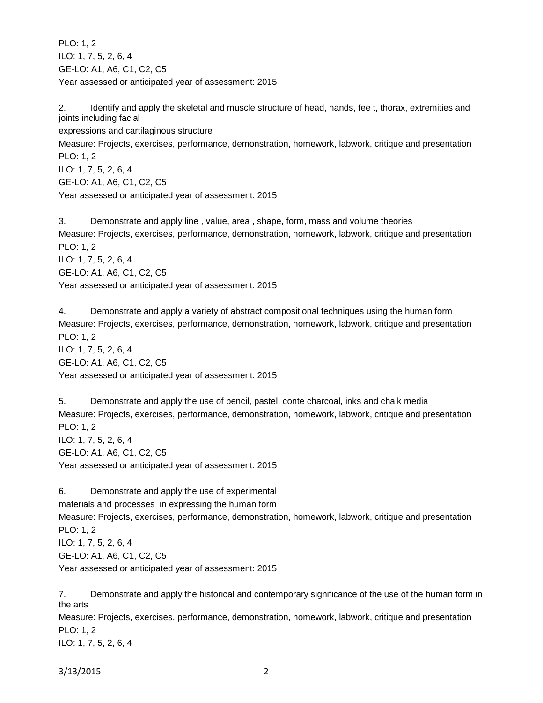PLO: 1, 2 ILO: 1, 7, 5, 2, 6, 4 GE-LO: A1, A6, C1, C2, C5 Year assessed or anticipated year of assessment: 2015

2. Identify and apply the skeletal and muscle structure of head, hands, fee t, thorax, extremities and joints including facial expressions and cartilaginous structure Measure: Projects, exercises, performance, demonstration, homework, labwork, critique and presentation PLO: 1, 2 ILO: 1, 7, 5, 2, 6, 4 GE-LO: A1, A6, C1, C2, C5 Year assessed or anticipated year of assessment: 2015

3. Demonstrate and apply line , value, area , shape, form, mass and volume theories Measure: Projects, exercises, performance, demonstration, homework, labwork, critique and presentation PLO: 1, 2 ILO: 1, 7, 5, 2, 6, 4 GE-LO: A1, A6, C1, C2, C5 Year assessed or anticipated year of assessment: 2015

4. Demonstrate and apply a variety of abstract compositional techniques using the human form Measure: Projects, exercises, performance, demonstration, homework, labwork, critique and presentation PLO: 1, 2 ILO: 1, 7, 5, 2, 6, 4 GE-LO: A1, A6, C1, C2, C5 Year assessed or anticipated year of assessment: 2015

5. Demonstrate and apply the use of pencil, pastel, conte charcoal, inks and chalk media Measure: Projects, exercises, performance, demonstration, homework, labwork, critique and presentation PLO: 1, 2 ILO: 1, 7, 5, 2, 6, 4 GE-LO: A1, A6, C1, C2, C5 Year assessed or anticipated year of assessment: 2015

6. Demonstrate and apply the use of experimental materials and processes in expressing the human form Measure: Projects, exercises, performance, demonstration, homework, labwork, critique and presentation PLO: 1, 2 ILO: 1, 7, 5, 2, 6, 4 GE-LO: A1, A6, C1, C2, C5 Year assessed or anticipated year of assessment: 2015

7. Demonstrate and apply the historical and contemporary significance of the use of the human form in the arts Measure: Projects, exercises, performance, demonstration, homework, labwork, critique and presentation

PLO: 1, 2 ILO: 1, 7, 5, 2, 6, 4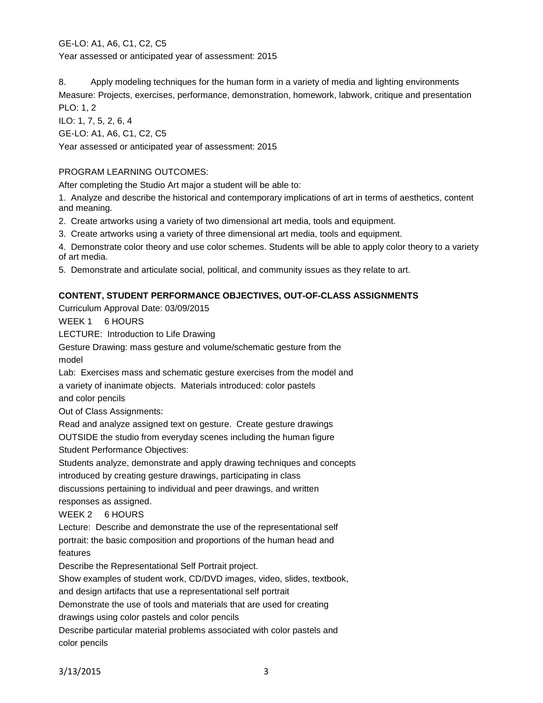GE-LO: A1, A6, C1, C2, C5 Year assessed or anticipated year of assessment: 2015

8. Apply modeling techniques for the human form in a variety of media and lighting environments Measure: Projects, exercises, performance, demonstration, homework, labwork, critique and presentation PLO: 1, 2

ILO: 1, 7, 5, 2, 6, 4 GE-LO: A1, A6, C1, C2, C5

Year assessed or anticipated year of assessment: 2015

# PROGRAM LEARNING OUTCOMES:

After completing the Studio Art major a student will be able to:

1. Analyze and describe the historical and contemporary implications of art in terms of aesthetics, content and meaning.

2. Create artworks using a variety of two dimensional art media, tools and equipment.

3. Create artworks using a variety of three dimensional art media, tools and equipment.

4. Demonstrate color theory and use color schemes. Students will be able to apply color theory to a variety of art media.

5. Demonstrate and articulate social, political, and community issues as they relate to art.

# **CONTENT, STUDENT PERFORMANCE OBJECTIVES, OUT-OF-CLASS ASSIGNMENTS**

Curriculum Approval Date: 03/09/2015

WEEK 1 6 HOURS

LECTURE: Introduction to Life Drawing

Gesture Drawing: mass gesture and volume/schematic gesture from the model

Lab: Exercises mass and schematic gesture exercises from the model and a variety of inanimate objects. Materials introduced: color pastels and color pencils

Out of Class Assignments:

Read and analyze assigned text on gesture. Create gesture drawings

OUTSIDE the studio from everyday scenes including the human figure

Student Performance Objectives:

Students analyze, demonstrate and apply drawing techniques and concepts introduced by creating gesture drawings, participating in class

discussions pertaining to individual and peer drawings, and written responses as assigned.

WEEK 2 6 HOURS

Lecture: Describe and demonstrate the use of the representational self portrait: the basic composition and proportions of the human head and features

Describe the Representational Self Portrait project.

Show examples of student work, CD/DVD images, video, slides, textbook,

and design artifacts that use a representational self portrait

Demonstrate the use of tools and materials that are used for creating

drawings using color pastels and color pencils

Describe particular material problems associated with color pastels and color pencils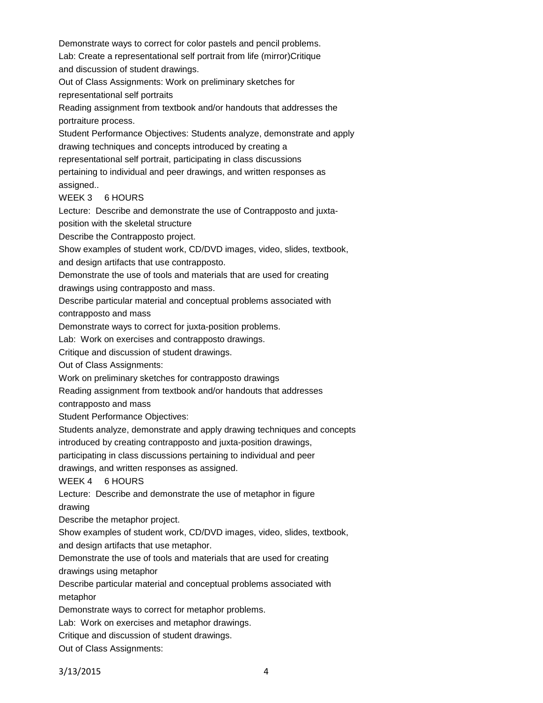Demonstrate ways to correct for color pastels and pencil problems. Lab: Create a representational self portrait from life (mirror)Critique and discussion of student drawings.

Out of Class Assignments: Work on preliminary sketches for representational self portraits

Reading assignment from textbook and/or handouts that addresses the portraiture process.

Student Performance Objectives: Students analyze, demonstrate and apply drawing techniques and concepts introduced by creating a representational self portrait, participating in class discussions

pertaining to individual and peer drawings, and written responses as

assigned..

WEEK 3 6 HOURS

Lecture: Describe and demonstrate the use of Contrapposto and juxta-

position with the skeletal structure

Describe the Contrapposto project.

Show examples of student work, CD/DVD images, video, slides, textbook,

and design artifacts that use contrapposto.

Demonstrate the use of tools and materials that are used for creating drawings using contrapposto and mass.

Describe particular material and conceptual problems associated with contrapposto and mass

Demonstrate ways to correct for juxta-position problems.

Lab: Work on exercises and contrapposto drawings.

Critique and discussion of student drawings.

Out of Class Assignments:

Work on preliminary sketches for contrapposto drawings

Reading assignment from textbook and/or handouts that addresses

contrapposto and mass

Student Performance Objectives:

Students analyze, demonstrate and apply drawing techniques and concepts

introduced by creating contrapposto and juxta-position drawings,

participating in class discussions pertaining to individual and peer

drawings, and written responses as assigned.

WEEK 4 6 HOURS

Lecture: Describe and demonstrate the use of metaphor in figure drawing

Describe the metaphor project.

Show examples of student work, CD/DVD images, video, slides, textbook, and design artifacts that use metaphor.

Demonstrate the use of tools and materials that are used for creating

drawings using metaphor

Describe particular material and conceptual problems associated with metaphor

Demonstrate ways to correct for metaphor problems.

Lab: Work on exercises and metaphor drawings.

Critique and discussion of student drawings.

Out of Class Assignments: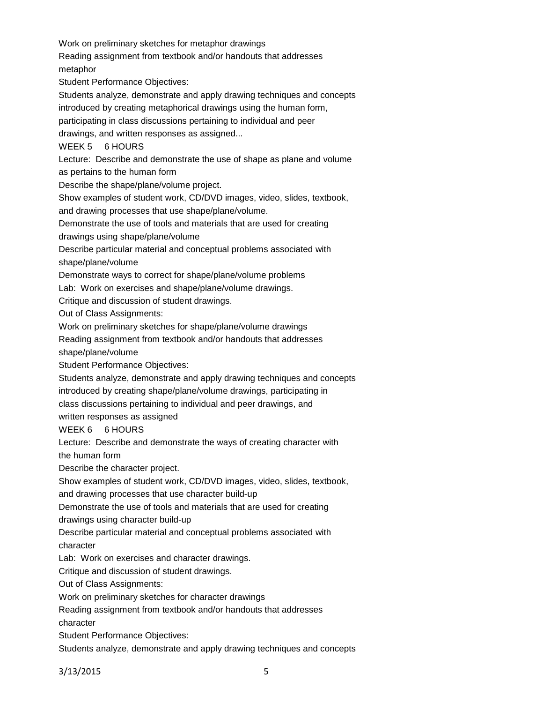Work on preliminary sketches for metaphor drawings

Reading assignment from textbook and/or handouts that addresses metaphor

Student Performance Objectives:

Students analyze, demonstrate and apply drawing techniques and concepts

introduced by creating metaphorical drawings using the human form,

participating in class discussions pertaining to individual and peer

drawings, and written responses as assigned...

WEEK 5 6 HOURS

Lecture: Describe and demonstrate the use of shape as plane and volume as pertains to the human form

Describe the shape/plane/volume project.

Show examples of student work, CD/DVD images, video, slides, textbook,

and drawing processes that use shape/plane/volume.

Demonstrate the use of tools and materials that are used for creating

drawings using shape/plane/volume

Describe particular material and conceptual problems associated with shape/plane/volume

Demonstrate ways to correct for shape/plane/volume problems

Lab: Work on exercises and shape/plane/volume drawings.

Critique and discussion of student drawings.

Out of Class Assignments:

Work on preliminary sketches for shape/plane/volume drawings

Reading assignment from textbook and/or handouts that addresses

shape/plane/volume

Student Performance Objectives:

Students analyze, demonstrate and apply drawing techniques and concepts introduced by creating shape/plane/volume drawings, participating in class discussions pertaining to individual and peer drawings, and

written responses as assigned

WEEK 6 6 HOURS

Lecture: Describe and demonstrate the ways of creating character with

the human form

Describe the character project.

Show examples of student work, CD/DVD images, video, slides, textbook,

and drawing processes that use character build-up

Demonstrate the use of tools and materials that are used for creating

drawings using character build-up

Describe particular material and conceptual problems associated with character

Lab: Work on exercises and character drawings.

Critique and discussion of student drawings.

Out of Class Assignments:

Work on preliminary sketches for character drawings

Reading assignment from textbook and/or handouts that addresses

character

Student Performance Objectives:

Students analyze, demonstrate and apply drawing techniques and concepts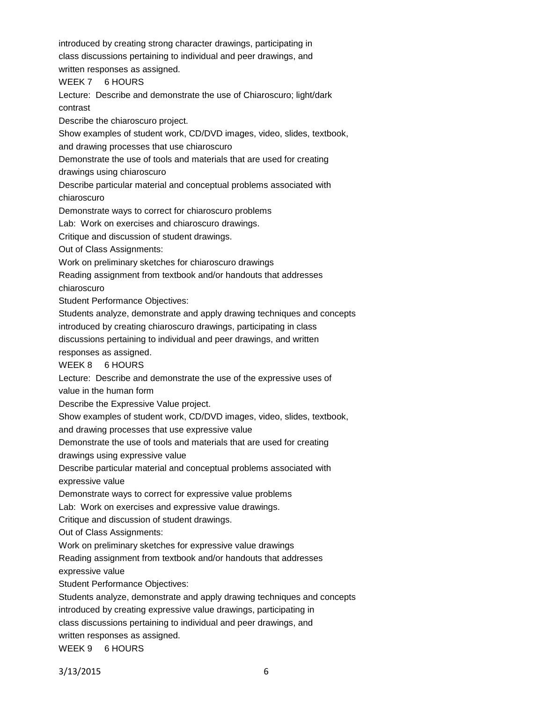introduced by creating strong character drawings, participating in class discussions pertaining to individual and peer drawings, and

written responses as assigned.

WEEK 7 6 HOURS

Lecture: Describe and demonstrate the use of Chiaroscuro; light/dark contrast

Describe the chiaroscuro project.

Show examples of student work, CD/DVD images, video, slides, textbook,

and drawing processes that use chiaroscuro

Demonstrate the use of tools and materials that are used for creating

drawings using chiaroscuro

Describe particular material and conceptual problems associated with chiaroscuro

Demonstrate ways to correct for chiaroscuro problems

Lab: Work on exercises and chiaroscuro drawings.

Critique and discussion of student drawings.

Out of Class Assignments:

Work on preliminary sketches for chiaroscuro drawings

Reading assignment from textbook and/or handouts that addresses

chiaroscuro

Student Performance Objectives:

Students analyze, demonstrate and apply drawing techniques and concepts

introduced by creating chiaroscuro drawings, participating in class

discussions pertaining to individual and peer drawings, and written

responses as assigned.

WEEK 8 6 HOURS

Lecture: Describe and demonstrate the use of the expressive uses of

value in the human form

Describe the Expressive Value project.

Show examples of student work, CD/DVD images, video, slides, textbook,

and drawing processes that use expressive value

Demonstrate the use of tools and materials that are used for creating

drawings using expressive value

Describe particular material and conceptual problems associated with expressive value

Demonstrate ways to correct for expressive value problems

Lab: Work on exercises and expressive value drawings.

Critique and discussion of student drawings.

Out of Class Assignments:

Work on preliminary sketches for expressive value drawings

Reading assignment from textbook and/or handouts that addresses

expressive value

Student Performance Objectives:

Students analyze, demonstrate and apply drawing techniques and concepts

introduced by creating expressive value drawings, participating in

class discussions pertaining to individual and peer drawings, and

written responses as assigned.

WEEK 9 6 HOURS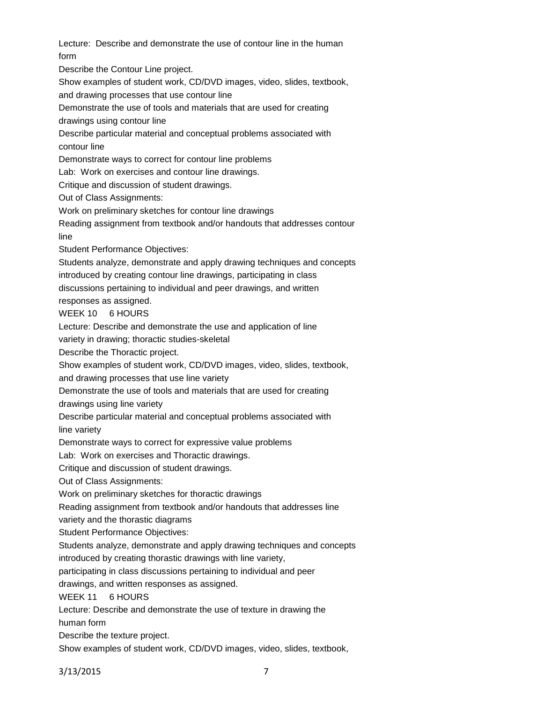Lecture: Describe and demonstrate the use of contour line in the human form

Describe the Contour Line project.

Show examples of student work, CD/DVD images, video, slides, textbook,

and drawing processes that use contour line

Demonstrate the use of tools and materials that are used for creating

drawings using contour line

Describe particular material and conceptual problems associated with contour line

Demonstrate ways to correct for contour line problems

Lab: Work on exercises and contour line drawings.

Critique and discussion of student drawings.

Out of Class Assignments:

Work on preliminary sketches for contour line drawings

Reading assignment from textbook and/or handouts that addresses contour line

Student Performance Objectives:

Students analyze, demonstrate and apply drawing techniques and concepts introduced by creating contour line drawings, participating in class

discussions pertaining to individual and peer drawings, and written

responses as assigned.

WEEK 10 6 HOURS

Lecture: Describe and demonstrate the use and application of line

variety in drawing; thoractic studies-skeletal

Describe the Thoractic project.

Show examples of student work, CD/DVD images, video, slides, textbook,

and drawing processes that use line variety

Demonstrate the use of tools and materials that are used for creating

drawings using line variety

Describe particular material and conceptual problems associated with line variety

Demonstrate ways to correct for expressive value problems

Lab: Work on exercises and Thoractic drawings.

Critique and discussion of student drawings.

Out of Class Assignments:

Work on preliminary sketches for thoractic drawings

Reading assignment from textbook and/or handouts that addresses line

variety and the thorastic diagrams

Student Performance Objectives:

Students analyze, demonstrate and apply drawing techniques and concepts

introduced by creating thorastic drawings with line variety,

participating in class discussions pertaining to individual and peer

drawings, and written responses as assigned.

WEEK 11 6 HOURS

Lecture: Describe and demonstrate the use of texture in drawing the

human form

Describe the texture project.

Show examples of student work, CD/DVD images, video, slides, textbook,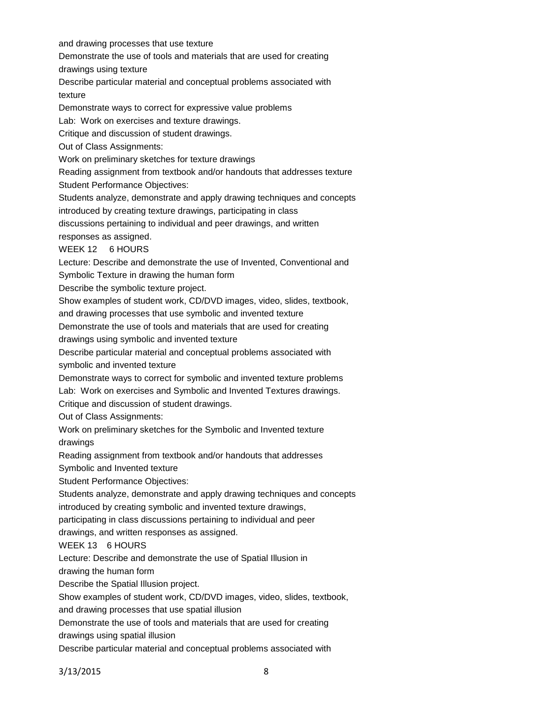and drawing processes that use texture

Demonstrate the use of tools and materials that are used for creating

drawings using texture

Describe particular material and conceptual problems associated with texture

Demonstrate ways to correct for expressive value problems

Lab: Work on exercises and texture drawings.

Critique and discussion of student drawings.

Out of Class Assignments:

Work on preliminary sketches for texture drawings

Reading assignment from textbook and/or handouts that addresses texture

Student Performance Objectives:

Students analyze, demonstrate and apply drawing techniques and concepts

introduced by creating texture drawings, participating in class

discussions pertaining to individual and peer drawings, and written

responses as assigned.

WEEK 12 6 HOURS

Lecture: Describe and demonstrate the use of Invented, Conventional and Symbolic Texture in drawing the human form

Describe the symbolic texture project.

Show examples of student work, CD/DVD images, video, slides, textbook,

and drawing processes that use symbolic and invented texture

Demonstrate the use of tools and materials that are used for creating

drawings using symbolic and invented texture

Describe particular material and conceptual problems associated with symbolic and invented texture

Demonstrate ways to correct for symbolic and invented texture problems

Lab: Work on exercises and Symbolic and Invented Textures drawings. Critique and discussion of student drawings.

Out of Class Assignments:

Work on preliminary sketches for the Symbolic and Invented texture drawings

Reading assignment from textbook and/or handouts that addresses

Symbolic and Invented texture

Student Performance Objectives:

Students analyze, demonstrate and apply drawing techniques and concepts

introduced by creating symbolic and invented texture drawings,

participating in class discussions pertaining to individual and peer

drawings, and written responses as assigned.

WEEK 13 6 HOURS

Lecture: Describe and demonstrate the use of Spatial Illusion in

drawing the human form

Describe the Spatial Illusion project.

Show examples of student work, CD/DVD images, video, slides, textbook,

and drawing processes that use spatial illusion

Demonstrate the use of tools and materials that are used for creating

drawings using spatial illusion

Describe particular material and conceptual problems associated with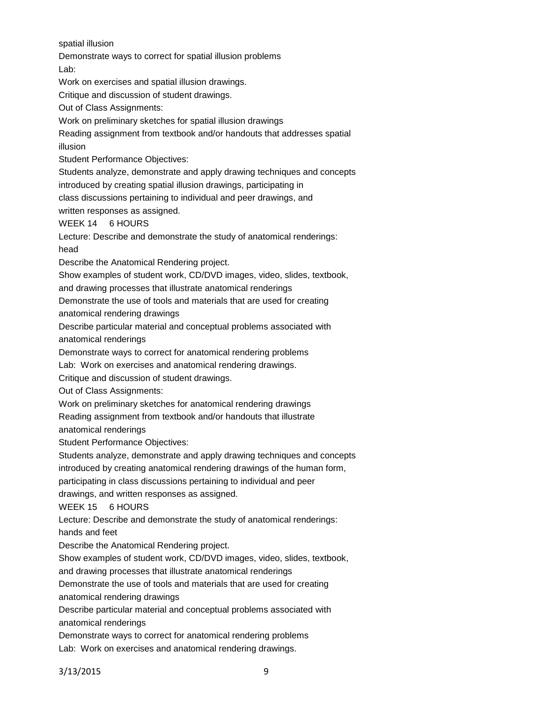spatial illusion

Demonstrate ways to correct for spatial illusion problems

Lab:

Work on exercises and spatial illusion drawings.

Critique and discussion of student drawings.

Out of Class Assignments:

Work on preliminary sketches for spatial illusion drawings

Reading assignment from textbook and/or handouts that addresses spatial illusion

Student Performance Objectives:

Students analyze, demonstrate and apply drawing techniques and concepts

introduced by creating spatial illusion drawings, participating in

class discussions pertaining to individual and peer drawings, and

written responses as assigned.

WEEK 14 6 HOURS

Lecture: Describe and demonstrate the study of anatomical renderings: head

Describe the Anatomical Rendering project.

Show examples of student work, CD/DVD images, video, slides, textbook,

and drawing processes that illustrate anatomical renderings

Demonstrate the use of tools and materials that are used for creating anatomical rendering drawings

Describe particular material and conceptual problems associated with anatomical renderings

Demonstrate ways to correct for anatomical rendering problems

Lab: Work on exercises and anatomical rendering drawings.

Critique and discussion of student drawings.

Out of Class Assignments:

Work on preliminary sketches for anatomical rendering drawings

Reading assignment from textbook and/or handouts that illustrate

anatomical renderings

Student Performance Objectives:

Students analyze, demonstrate and apply drawing techniques and concepts

introduced by creating anatomical rendering drawings of the human form,

participating in class discussions pertaining to individual and peer

drawings, and written responses as assigned.

WEEK 15 6 HOURS

Lecture: Describe and demonstrate the study of anatomical renderings:

hands and feet

Describe the Anatomical Rendering project.

Show examples of student work, CD/DVD images, video, slides, textbook,

and drawing processes that illustrate anatomical renderings

Demonstrate the use of tools and materials that are used for creating anatomical rendering drawings

Describe particular material and conceptual problems associated with anatomical renderings

Demonstrate ways to correct for anatomical rendering problems

Lab: Work on exercises and anatomical rendering drawings.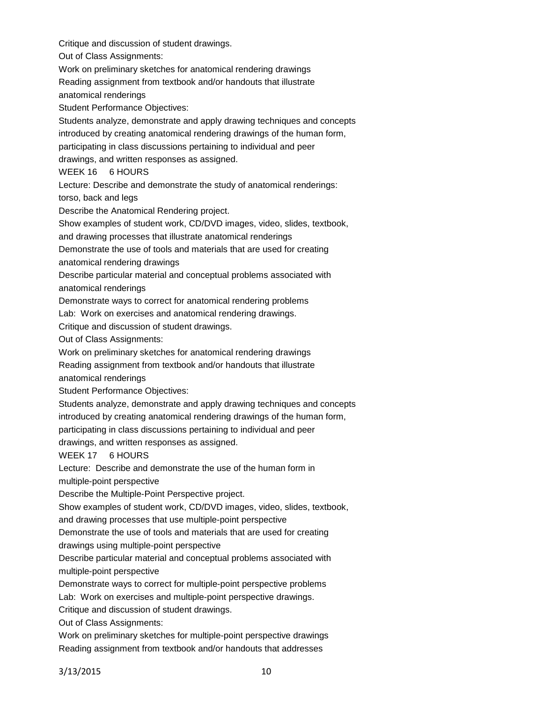Out of Class Assignments: Work on preliminary sketches for anatomical rendering drawings Reading assignment from textbook and/or handouts that illustrate anatomical renderings Student Performance Objectives: Students analyze, demonstrate and apply drawing techniques and concepts introduced by creating anatomical rendering drawings of the human form, participating in class discussions pertaining to individual and peer drawings, and written responses as assigned. WEEK 16 6 HOURS Lecture: Describe and demonstrate the study of anatomical renderings: torso, back and legs Describe the Anatomical Rendering project. Show examples of student work, CD/DVD images, video, slides, textbook, and drawing processes that illustrate anatomical renderings Demonstrate the use of tools and materials that are used for creating anatomical rendering drawings Describe particular material and conceptual problems associated with anatomical renderings Demonstrate ways to correct for anatomical rendering problems Lab: Work on exercises and anatomical rendering drawings. Critique and discussion of student drawings. Out of Class Assignments: Work on preliminary sketches for anatomical rendering drawings Reading assignment from textbook and/or handouts that illustrate anatomical renderings Student Performance Objectives: Students analyze, demonstrate and apply drawing techniques and concepts introduced by creating anatomical rendering drawings of the human form, participating in class discussions pertaining to individual and peer drawings, and written responses as assigned. WEEK 17 6 HOURS Lecture: Describe and demonstrate the use of the human form in multiple-point perspective Describe the Multiple-Point Perspective project. Show examples of student work, CD/DVD images, video, slides, textbook, and drawing processes that use multiple-point perspective Demonstrate the use of tools and materials that are used for creating drawings using multiple-point perspective Describe particular material and conceptual problems associated with multiple-point perspective Demonstrate ways to correct for multiple-point perspective problems Lab: Work on exercises and multiple-point perspective drawings. Critique and discussion of student drawings. Out of Class Assignments: Work on preliminary sketches for multiple-point perspective drawings

Critique and discussion of student drawings.

Reading assignment from textbook and/or handouts that addresses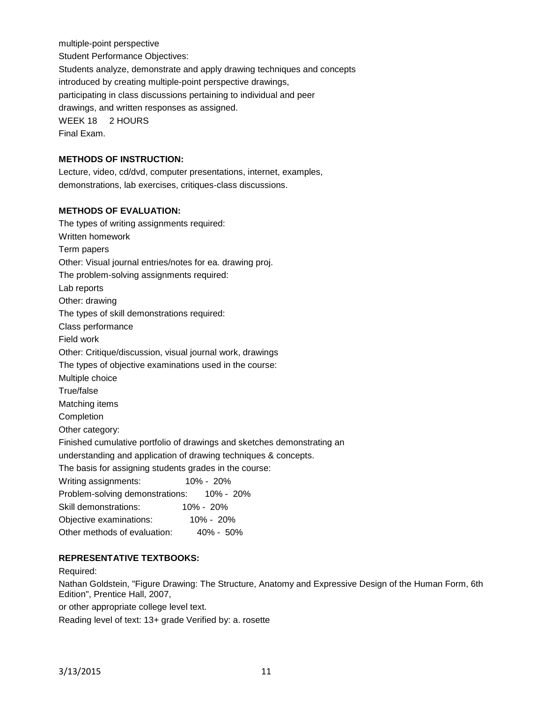multiple-point perspective Student Performance Objectives: Students analyze, demonstrate and apply drawing techniques and concepts introduced by creating multiple-point perspective drawings, participating in class discussions pertaining to individual and peer drawings, and written responses as assigned. WEEK 18 2 HOURS Final Exam.

## **METHODS OF INSTRUCTION:**

Lecture, video, cd/dvd, computer presentations, internet, examples, demonstrations, lab exercises, critiques-class discussions.

# **METHODS OF EVALUATION:**

| The types of writing assignments required:                              |  |  |  |  |
|-------------------------------------------------------------------------|--|--|--|--|
| Written homework                                                        |  |  |  |  |
| Term papers                                                             |  |  |  |  |
| Other: Visual journal entries/notes for ea. drawing proj.               |  |  |  |  |
| The problem-solving assignments required:                               |  |  |  |  |
| Lab reports                                                             |  |  |  |  |
| Other: drawing                                                          |  |  |  |  |
| The types of skill demonstrations required:                             |  |  |  |  |
| Class performance                                                       |  |  |  |  |
| Field work                                                              |  |  |  |  |
| Other: Critique/discussion, visual journal work, drawings               |  |  |  |  |
| The types of objective examinations used in the course:                 |  |  |  |  |
| Multiple choice                                                         |  |  |  |  |
| True/false                                                              |  |  |  |  |
| Matching items                                                          |  |  |  |  |
| Completion                                                              |  |  |  |  |
| Other category:                                                         |  |  |  |  |
| Finished cumulative portfolio of drawings and sketches demonstrating an |  |  |  |  |
| understanding and application of drawing techniques & concepts.         |  |  |  |  |
| The basis for assigning students grades in the course:                  |  |  |  |  |
| $10\% - 20\%$<br>Writing assignments:                                   |  |  |  |  |
| Problem-solving demonstrations:<br>10% - 20%                            |  |  |  |  |
| Skill demonstrations:<br>10% - 20%                                      |  |  |  |  |
| Objective examinations: 10% - 20%                                       |  |  |  |  |
| Other methods of evaluation:<br>40% - 50%                               |  |  |  |  |
|                                                                         |  |  |  |  |

# **REPRESENTATIVE TEXTBOOKS:**

#### Required:

Nathan Goldstein, "Figure Drawing: The Structure, Anatomy and Expressive Design of the Human Form, 6th Edition", Prentice Hall, 2007,

or other appropriate college level text.

Reading level of text: 13+ grade Verified by: a. rosette